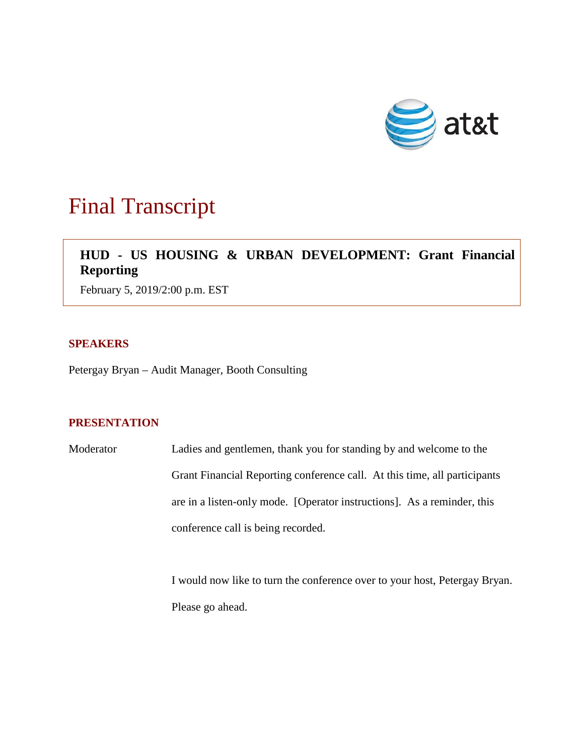

# Final Transcript

# **HUD - US HOUSING & URBAN DEVELOPMENT: Grant Financial Reporting**

February 5, 2019/2:00 p.m. EST

### **SPEAKERS**

Petergay Bryan – Audit Manager, Booth Consulting

## **PRESENTATION**

Moderator Ladies and gentlemen, thank you for standing by and welcome to the Grant Financial Reporting conference call. At this time, all participants are in a listen-only mode. [Operator instructions]. As a reminder, this conference call is being recorded.

> I would now like to turn the conference over to your host, Petergay Bryan. Please go ahead.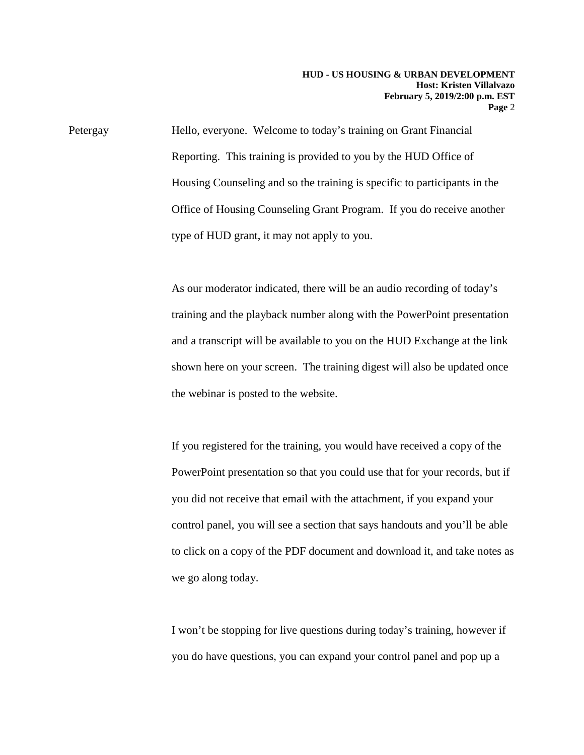Petergay Hello, everyone. Welcome to today's training on Grant Financial Reporting. This training is provided to you by the HUD Office of Housing Counseling and so the training is specific to participants in the Office of Housing Counseling Grant Program. If you do receive another type of HUD grant, it may not apply to you.

> As our moderator indicated, there will be an audio recording of today's training and the playback number along with the PowerPoint presentation and a transcript will be available to you on the HUD Exchange at the link shown here on your screen. The training digest will also be updated once the webinar is posted to the website.

If you registered for the training, you would have received a copy of the PowerPoint presentation so that you could use that for your records, but if you did not receive that email with the attachment, if you expand your control panel, you will see a section that says handouts and you'll be able to click on a copy of the PDF document and download it, and take notes as we go along today.

I won't be stopping for live questions during today's training, however if you do have questions, you can expand your control panel and pop up a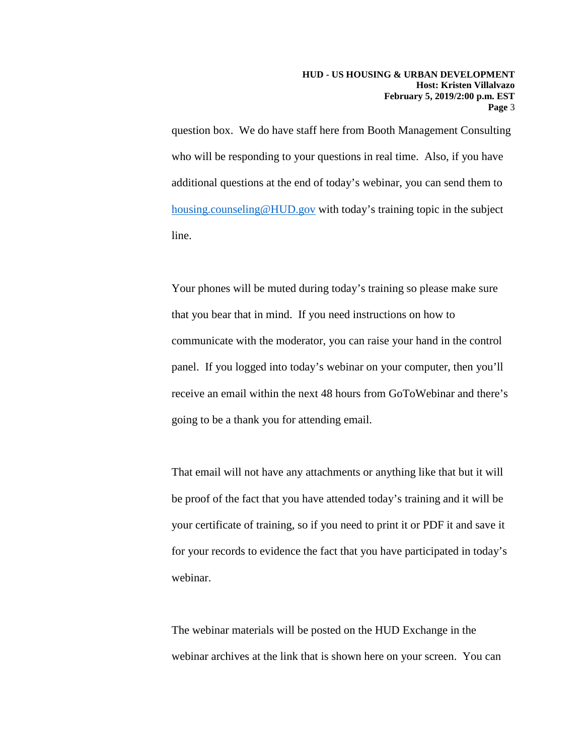question box. We do have staff here from Booth Management Consulting who will be responding to your questions in real time. Also, if you have additional questions at the end of today's webinar, you can send them to [housing.counseling@HUD.gov](mailto:housing.counseling@HUD.gov) with today's training topic in the subject line.

Your phones will be muted during today's training so please make sure that you bear that in mind. If you need instructions on how to communicate with the moderator, you can raise your hand in the control panel. If you logged into today's webinar on your computer, then you'll receive an email within the next 48 hours from GoToWebinar and there's going to be a thank you for attending email.

That email will not have any attachments or anything like that but it will be proof of the fact that you have attended today's training and it will be your certificate of training, so if you need to print it or PDF it and save it for your records to evidence the fact that you have participated in today's webinar.

The webinar materials will be posted on the HUD Exchange in the webinar archives at the link that is shown here on your screen. You can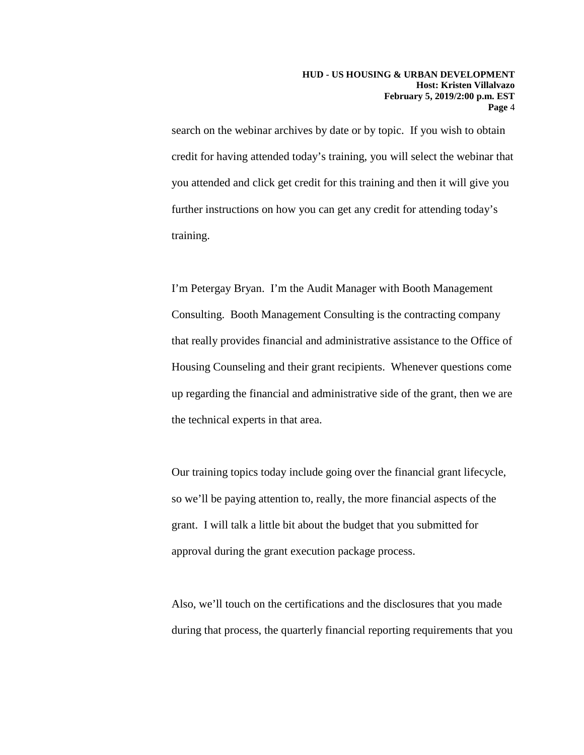search on the webinar archives by date or by topic. If you wish to obtain credit for having attended today's training, you will select the webinar that you attended and click get credit for this training and then it will give you further instructions on how you can get any credit for attending today's training.

I'm Petergay Bryan. I'm the Audit Manager with Booth Management Consulting. Booth Management Consulting is the contracting company that really provides financial and administrative assistance to the Office of Housing Counseling and their grant recipients. Whenever questions come up regarding the financial and administrative side of the grant, then we are the technical experts in that area.

Our training topics today include going over the financial grant lifecycle, so we'll be paying attention to, really, the more financial aspects of the grant. I will talk a little bit about the budget that you submitted for approval during the grant execution package process.

Also, we'll touch on the certifications and the disclosures that you made during that process, the quarterly financial reporting requirements that you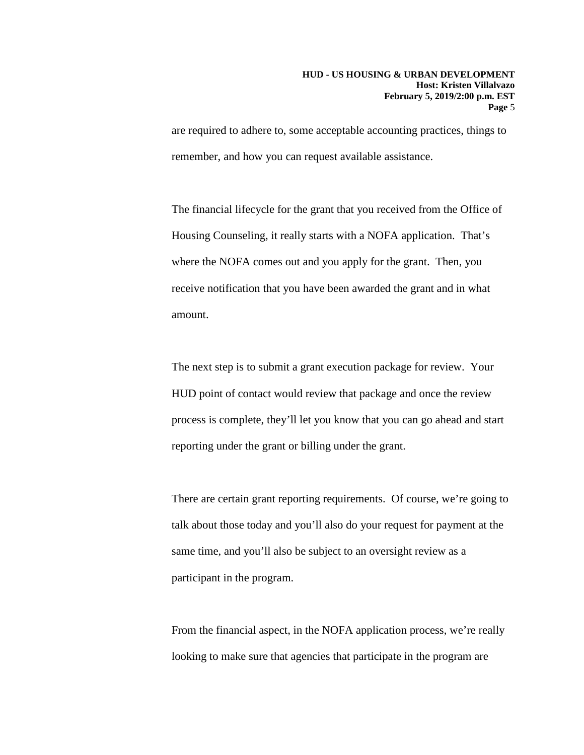are required to adhere to, some acceptable accounting practices, things to remember, and how you can request available assistance.

The financial lifecycle for the grant that you received from the Office of Housing Counseling, it really starts with a NOFA application. That's where the NOFA comes out and you apply for the grant. Then, you receive notification that you have been awarded the grant and in what amount.

The next step is to submit a grant execution package for review. Your HUD point of contact would review that package and once the review process is complete, they'll let you know that you can go ahead and start reporting under the grant or billing under the grant.

There are certain grant reporting requirements. Of course, we're going to talk about those today and you'll also do your request for payment at the same time, and you'll also be subject to an oversight review as a participant in the program.

From the financial aspect, in the NOFA application process, we're really looking to make sure that agencies that participate in the program are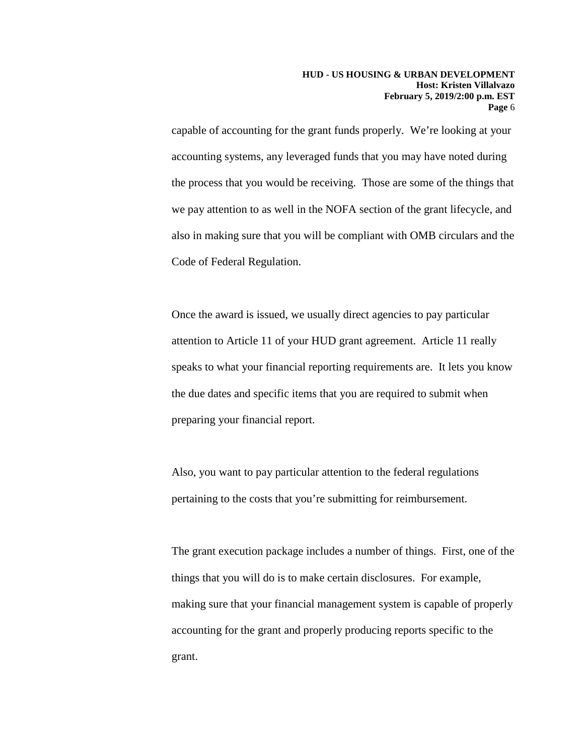capable of accounting for the grant funds properly. We're looking at your accounting systems, any leveraged funds that you may have noted during the process that you would be receiving. Those are some of the things that we pay attention to as well in the NOFA section of the grant lifecycle, and also in making sure that you will be compliant with OMB circulars and the Code of Federal Regulation.

Once the award is issued, we usually direct agencies to pay particular attention to Article 11 of your HUD grant agreement. Article 11 really speaks to what your financial reporting requirements are. It lets you know the due dates and specific items that you are required to submit when preparing your financial report.

Also, you want to pay particular attention to the federal regulations pertaining to the costs that you're submitting for reimbursement.

The grant execution package includes a number of things. First, one of the things that you will do is to make certain disclosures. For example, making sure that your financial management system is capable of properly accounting for the grant and properly producing reports specific to the grant.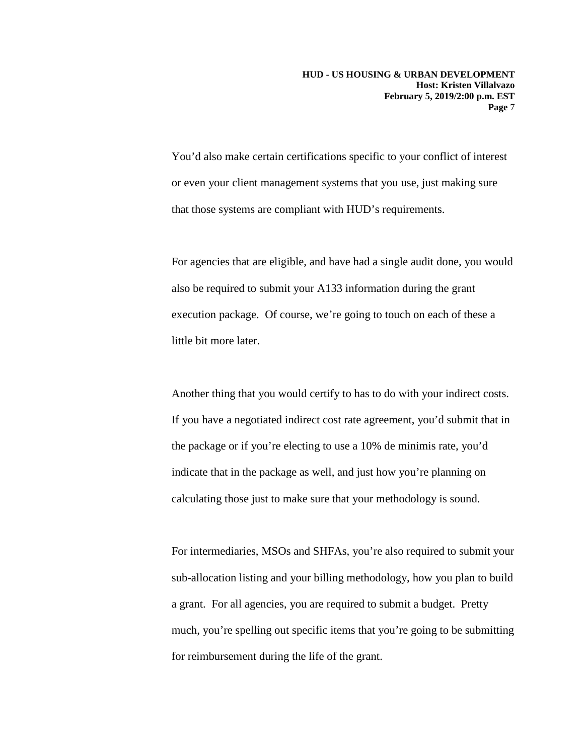You'd also make certain certifications specific to your conflict of interest or even your client management systems that you use, just making sure that those systems are compliant with HUD's requirements.

For agencies that are eligible, and have had a single audit done, you would also be required to submit your A133 information during the grant execution package. Of course, we're going to touch on each of these a little bit more later.

Another thing that you would certify to has to do with your indirect costs. If you have a negotiated indirect cost rate agreement, you'd submit that in the package or if you're electing to use a 10% de minimis rate, you'd indicate that in the package as well, and just how you're planning on calculating those just to make sure that your methodology is sound.

For intermediaries, MSOs and SHFAs, you're also required to submit your sub-allocation listing and your billing methodology, how you plan to build a grant. For all agencies, you are required to submit a budget. Pretty much, you're spelling out specific items that you're going to be submitting for reimbursement during the life of the grant.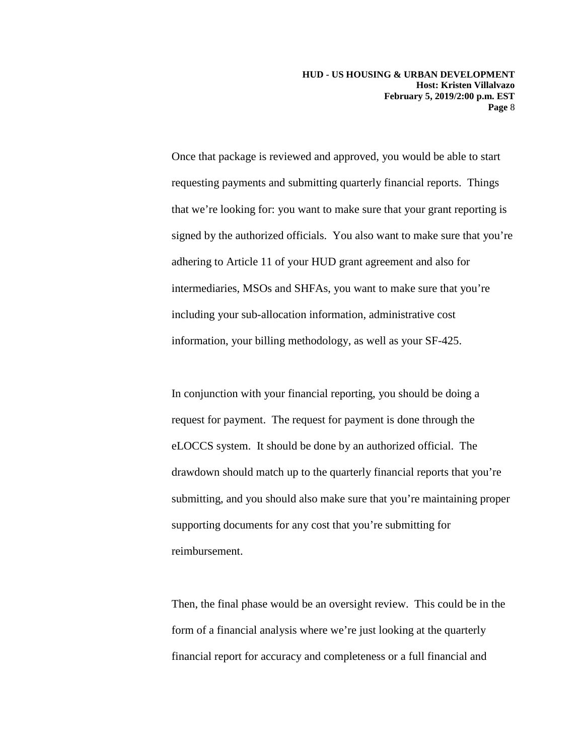Once that package is reviewed and approved, you would be able to start requesting payments and submitting quarterly financial reports. Things that we're looking for: you want to make sure that your grant reporting is signed by the authorized officials. You also want to make sure that you're adhering to Article 11 of your HUD grant agreement and also for intermediaries, MSOs and SHFAs, you want to make sure that you're including your sub-allocation information, administrative cost information, your billing methodology, as well as your SF-425.

In conjunction with your financial reporting, you should be doing a request for payment. The request for payment is done through the eLOCCS system. It should be done by an authorized official. The drawdown should match up to the quarterly financial reports that you're submitting, and you should also make sure that you're maintaining proper supporting documents for any cost that you're submitting for reimbursement.

Then, the final phase would be an oversight review. This could be in the form of a financial analysis where we're just looking at the quarterly financial report for accuracy and completeness or a full financial and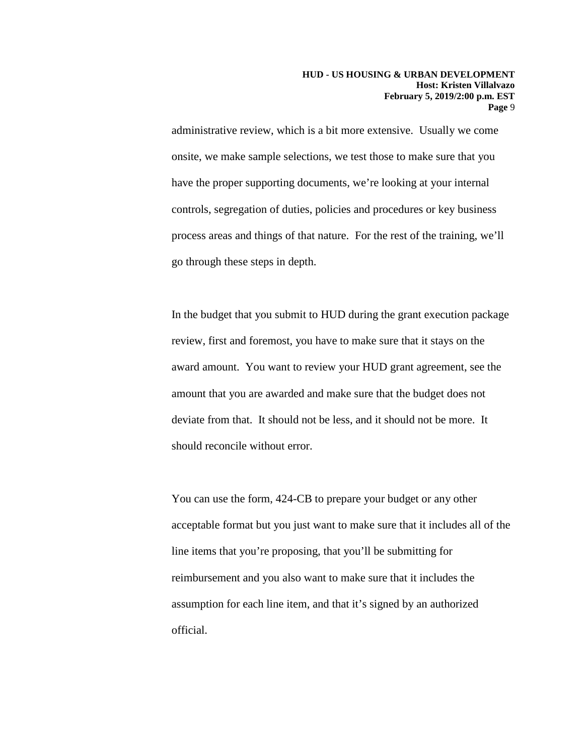administrative review, which is a bit more extensive. Usually we come onsite, we make sample selections, we test those to make sure that you have the proper supporting documents, we're looking at your internal controls, segregation of duties, policies and procedures or key business process areas and things of that nature. For the rest of the training, we'll go through these steps in depth.

In the budget that you submit to HUD during the grant execution package review, first and foremost, you have to make sure that it stays on the award amount. You want to review your HUD grant agreement, see the amount that you are awarded and make sure that the budget does not deviate from that. It should not be less, and it should not be more. It should reconcile without error.

You can use the form, 424-CB to prepare your budget or any other acceptable format but you just want to make sure that it includes all of the line items that you're proposing, that you'll be submitting for reimbursement and you also want to make sure that it includes the assumption for each line item, and that it's signed by an authorized official.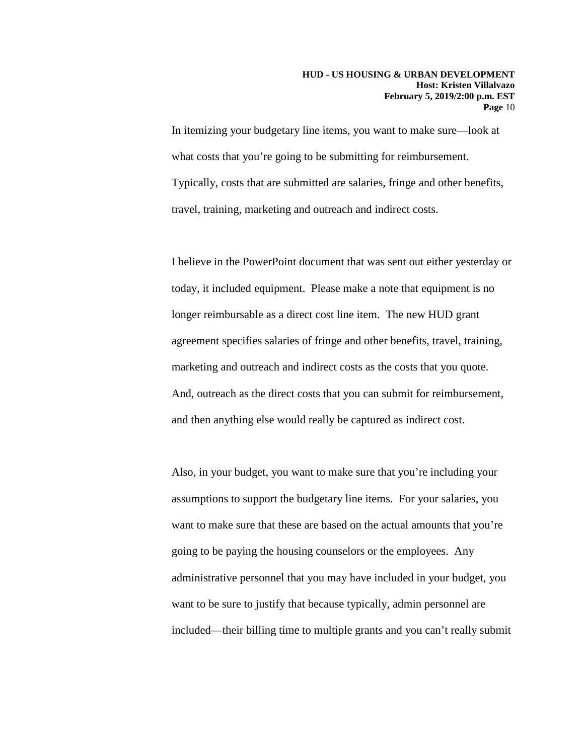In itemizing your budgetary line items, you want to make sure—look at what costs that you're going to be submitting for reimbursement. Typically, costs that are submitted are salaries, fringe and other benefits, travel, training, marketing and outreach and indirect costs.

I believe in the PowerPoint document that was sent out either yesterday or today, it included equipment. Please make a note that equipment is no longer reimbursable as a direct cost line item. The new HUD grant agreement specifies salaries of fringe and other benefits, travel, training, marketing and outreach and indirect costs as the costs that you quote. And, outreach as the direct costs that you can submit for reimbursement, and then anything else would really be captured as indirect cost.

Also, in your budget, you want to make sure that you're including your assumptions to support the budgetary line items. For your salaries, you want to make sure that these are based on the actual amounts that you're going to be paying the housing counselors or the employees. Any administrative personnel that you may have included in your budget, you want to be sure to justify that because typically, admin personnel are included—their billing time to multiple grants and you can't really submit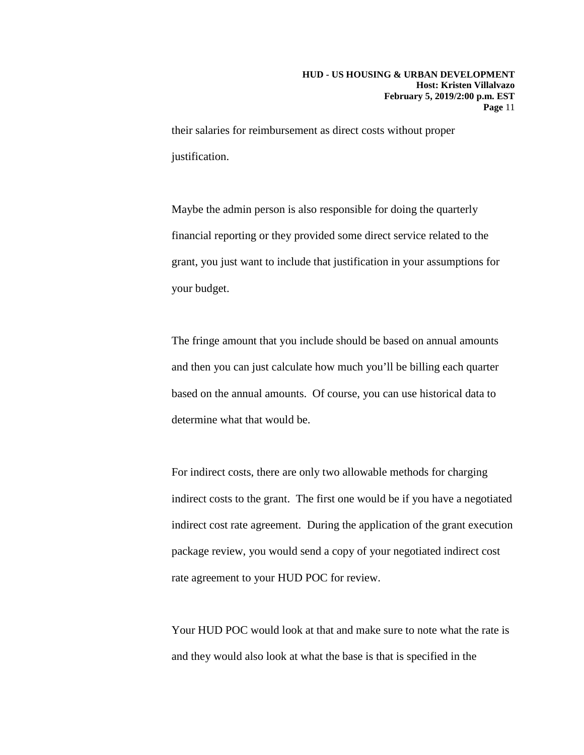their salaries for reimbursement as direct costs without proper justification.

Maybe the admin person is also responsible for doing the quarterly financial reporting or they provided some direct service related to the grant, you just want to include that justification in your assumptions for your budget.

The fringe amount that you include should be based on annual amounts and then you can just calculate how much you'll be billing each quarter based on the annual amounts. Of course, you can use historical data to determine what that would be.

For indirect costs, there are only two allowable methods for charging indirect costs to the grant. The first one would be if you have a negotiated indirect cost rate agreement. During the application of the grant execution package review, you would send a copy of your negotiated indirect cost rate agreement to your HUD POC for review.

Your HUD POC would look at that and make sure to note what the rate is and they would also look at what the base is that is specified in the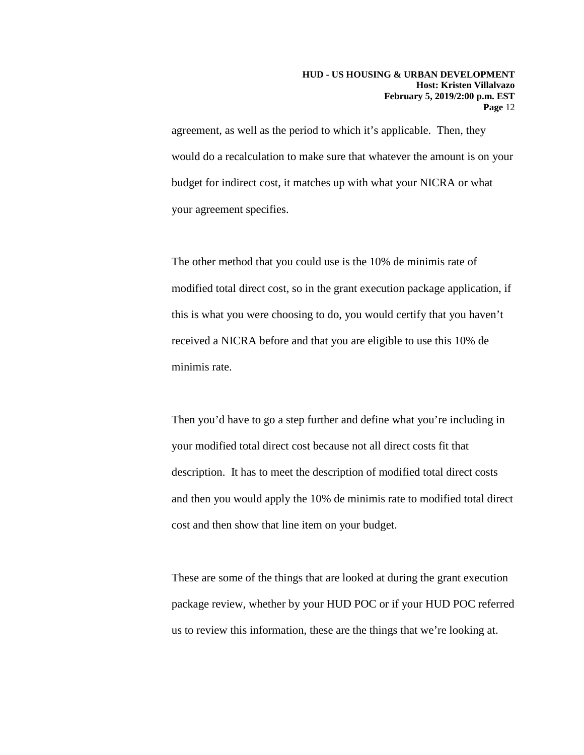agreement, as well as the period to which it's applicable. Then, they would do a recalculation to make sure that whatever the amount is on your budget for indirect cost, it matches up with what your NICRA or what your agreement specifies.

The other method that you could use is the 10% de minimis rate of modified total direct cost, so in the grant execution package application, if this is what you were choosing to do, you would certify that you haven't received a NICRA before and that you are eligible to use this 10% de minimis rate.

Then you'd have to go a step further and define what you're including in your modified total direct cost because not all direct costs fit that description. It has to meet the description of modified total direct costs and then you would apply the 10% de minimis rate to modified total direct cost and then show that line item on your budget.

These are some of the things that are looked at during the grant execution package review, whether by your HUD POC or if your HUD POC referred us to review this information, these are the things that we're looking at.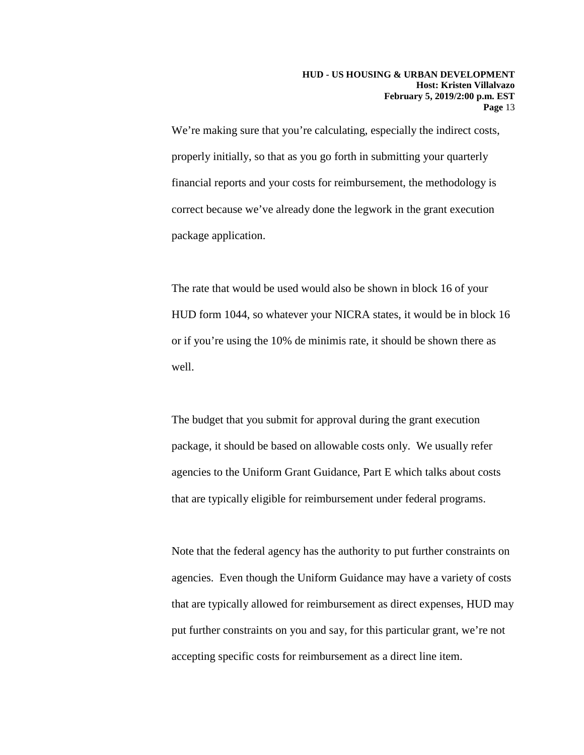We're making sure that you're calculating, especially the indirect costs, properly initially, so that as you go forth in submitting your quarterly financial reports and your costs for reimbursement, the methodology is correct because we've already done the legwork in the grant execution package application.

The rate that would be used would also be shown in block 16 of your HUD form 1044, so whatever your NICRA states, it would be in block 16 or if you're using the 10% de minimis rate, it should be shown there as well.

The budget that you submit for approval during the grant execution package, it should be based on allowable costs only. We usually refer agencies to the Uniform Grant Guidance, Part E which talks about costs that are typically eligible for reimbursement under federal programs.

Note that the federal agency has the authority to put further constraints on agencies. Even though the Uniform Guidance may have a variety of costs that are typically allowed for reimbursement as direct expenses, HUD may put further constraints on you and say, for this particular grant, we're not accepting specific costs for reimbursement as a direct line item.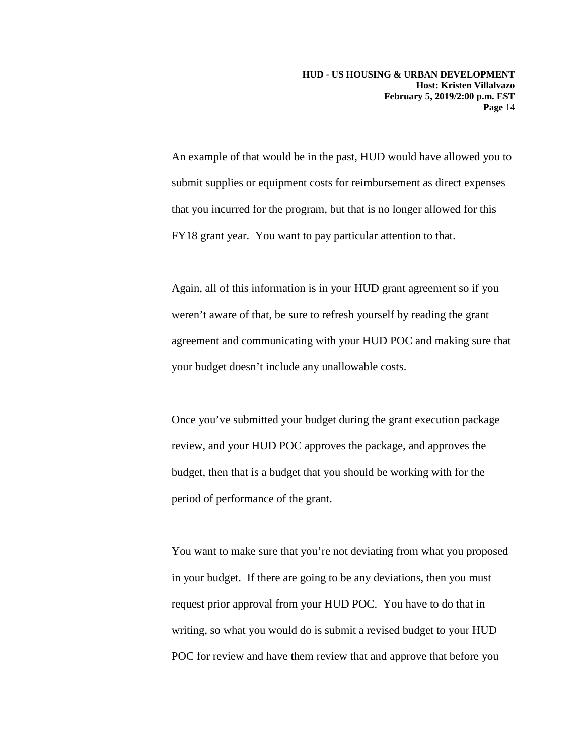An example of that would be in the past, HUD would have allowed you to submit supplies or equipment costs for reimbursement as direct expenses that you incurred for the program, but that is no longer allowed for this FY18 grant year. You want to pay particular attention to that.

Again, all of this information is in your HUD grant agreement so if you weren't aware of that, be sure to refresh yourself by reading the grant agreement and communicating with your HUD POC and making sure that your budget doesn't include any unallowable costs.

Once you've submitted your budget during the grant execution package review, and your HUD POC approves the package, and approves the budget, then that is a budget that you should be working with for the period of performance of the grant.

You want to make sure that you're not deviating from what you proposed in your budget. If there are going to be any deviations, then you must request prior approval from your HUD POC. You have to do that in writing, so what you would do is submit a revised budget to your HUD POC for review and have them review that and approve that before you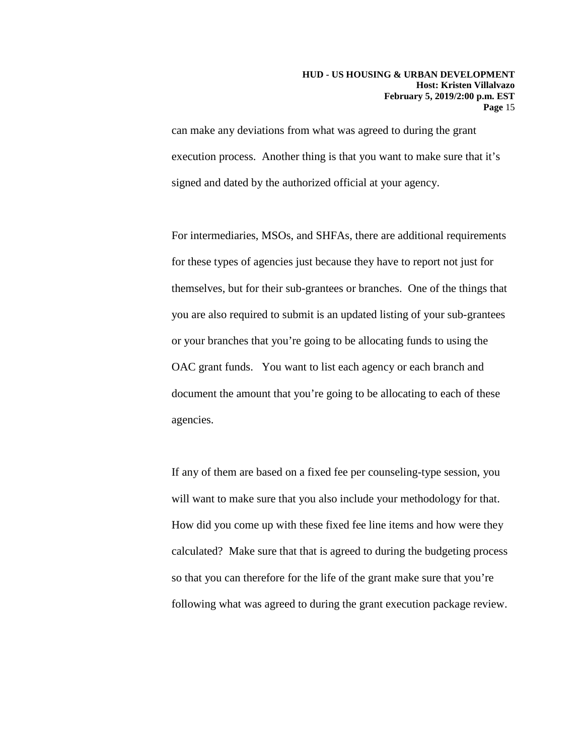can make any deviations from what was agreed to during the grant execution process. Another thing is that you want to make sure that it's signed and dated by the authorized official at your agency.

For intermediaries, MSOs, and SHFAs, there are additional requirements for these types of agencies just because they have to report not just for themselves, but for their sub-grantees or branches. One of the things that you are also required to submit is an updated listing of your sub-grantees or your branches that you're going to be allocating funds to using the OAC grant funds. You want to list each agency or each branch and document the amount that you're going to be allocating to each of these agencies.

If any of them are based on a fixed fee per counseling-type session, you will want to make sure that you also include your methodology for that. How did you come up with these fixed fee line items and how were they calculated? Make sure that that is agreed to during the budgeting process so that you can therefore for the life of the grant make sure that you're following what was agreed to during the grant execution package review.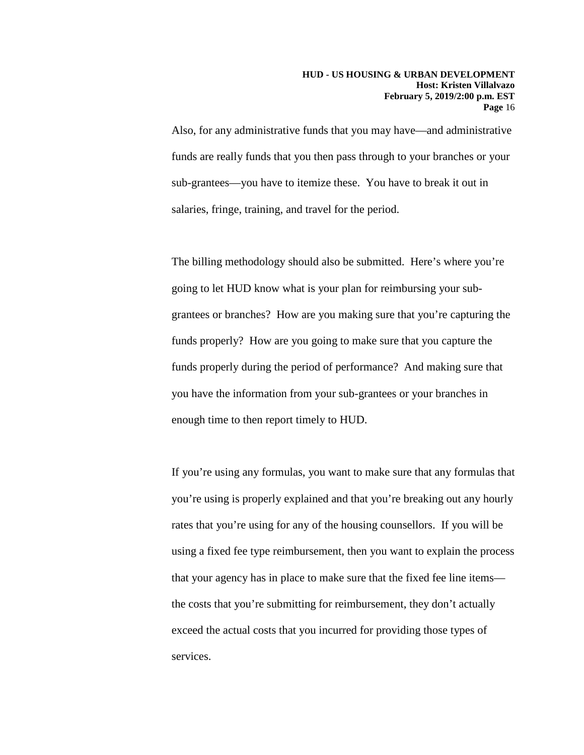Also, for any administrative funds that you may have—and administrative funds are really funds that you then pass through to your branches or your sub-grantees—you have to itemize these. You have to break it out in salaries, fringe, training, and travel for the period.

The billing methodology should also be submitted. Here's where you're going to let HUD know what is your plan for reimbursing your subgrantees or branches? How are you making sure that you're capturing the funds properly? How are you going to make sure that you capture the funds properly during the period of performance? And making sure that you have the information from your sub-grantees or your branches in enough time to then report timely to HUD.

If you're using any formulas, you want to make sure that any formulas that you're using is properly explained and that you're breaking out any hourly rates that you're using for any of the housing counsellors. If you will be using a fixed fee type reimbursement, then you want to explain the process that your agency has in place to make sure that the fixed fee line items the costs that you're submitting for reimbursement, they don't actually exceed the actual costs that you incurred for providing those types of services.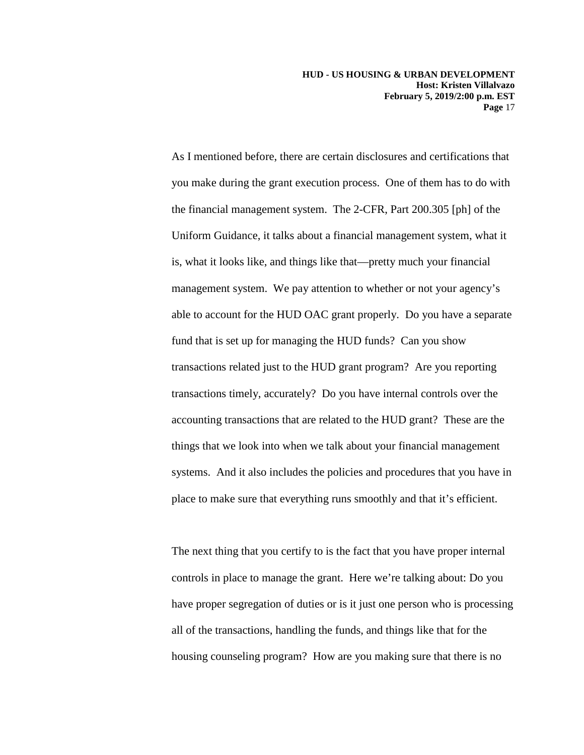As I mentioned before, there are certain disclosures and certifications that you make during the grant execution process. One of them has to do with the financial management system. The 2-CFR, Part 200.305 [ph] of the Uniform Guidance, it talks about a financial management system, what it is, what it looks like, and things like that—pretty much your financial management system. We pay attention to whether or not your agency's able to account for the HUD OAC grant properly. Do you have a separate fund that is set up for managing the HUD funds? Can you show transactions related just to the HUD grant program? Are you reporting transactions timely, accurately? Do you have internal controls over the accounting transactions that are related to the HUD grant? These are the things that we look into when we talk about your financial management systems. And it also includes the policies and procedures that you have in place to make sure that everything runs smoothly and that it's efficient.

The next thing that you certify to is the fact that you have proper internal controls in place to manage the grant. Here we're talking about: Do you have proper segregation of duties or is it just one person who is processing all of the transactions, handling the funds, and things like that for the housing counseling program? How are you making sure that there is no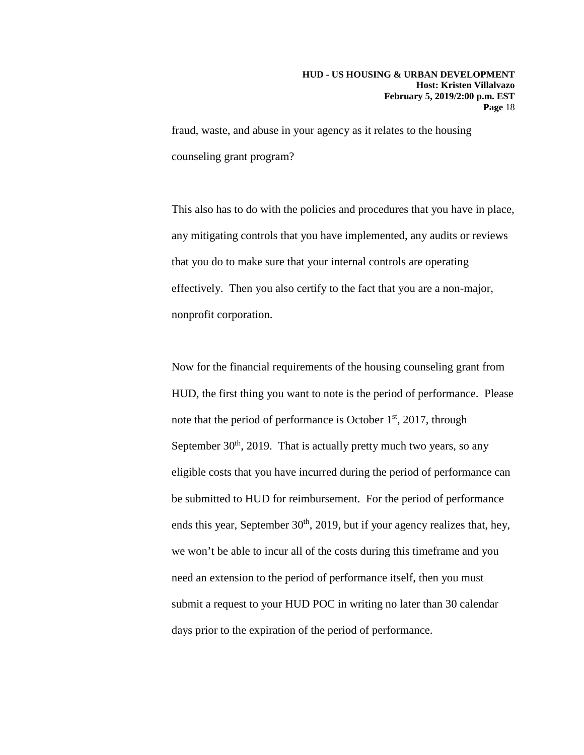fraud, waste, and abuse in your agency as it relates to the housing counseling grant program?

This also has to do with the policies and procedures that you have in place, any mitigating controls that you have implemented, any audits or reviews that you do to make sure that your internal controls are operating effectively. Then you also certify to the fact that you are a non-major, nonprofit corporation.

Now for the financial requirements of the housing counseling grant from HUD, the first thing you want to note is the period of performance. Please note that the period of performance is October  $1<sup>st</sup>$ , 2017, through September  $30<sup>th</sup>$ , 2019. That is actually pretty much two years, so any eligible costs that you have incurred during the period of performance can be submitted to HUD for reimbursement. For the period of performance ends this year, September  $30<sup>th</sup>$ , 2019, but if your agency realizes that, hey, we won't be able to incur all of the costs during this timeframe and you need an extension to the period of performance itself, then you must submit a request to your HUD POC in writing no later than 30 calendar days prior to the expiration of the period of performance.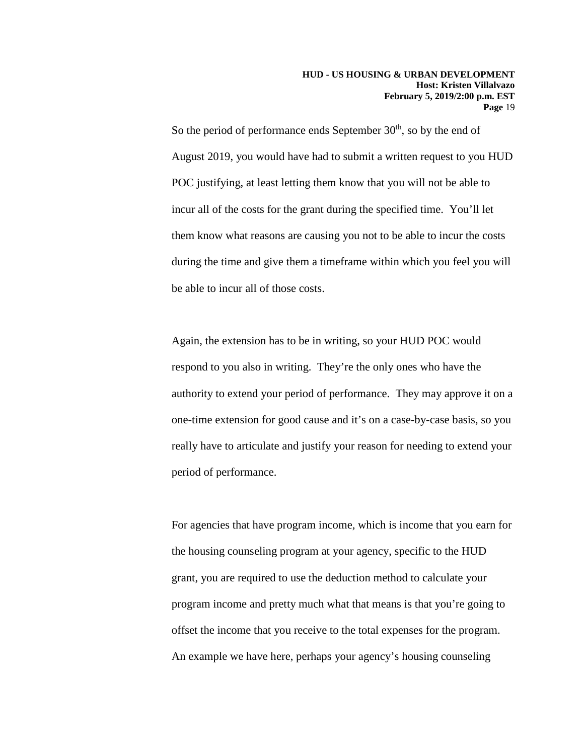So the period of performance ends September  $30<sup>th</sup>$ , so by the end of August 2019, you would have had to submit a written request to you HUD POC justifying, at least letting them know that you will not be able to incur all of the costs for the grant during the specified time. You'll let them know what reasons are causing you not to be able to incur the costs during the time and give them a timeframe within which you feel you will be able to incur all of those costs.

Again, the extension has to be in writing, so your HUD POC would respond to you also in writing. They're the only ones who have the authority to extend your period of performance. They may approve it on a one-time extension for good cause and it's on a case-by-case basis, so you really have to articulate and justify your reason for needing to extend your period of performance.

For agencies that have program income, which is income that you earn for the housing counseling program at your agency, specific to the HUD grant, you are required to use the deduction method to calculate your program income and pretty much what that means is that you're going to offset the income that you receive to the total expenses for the program. An example we have here, perhaps your agency's housing counseling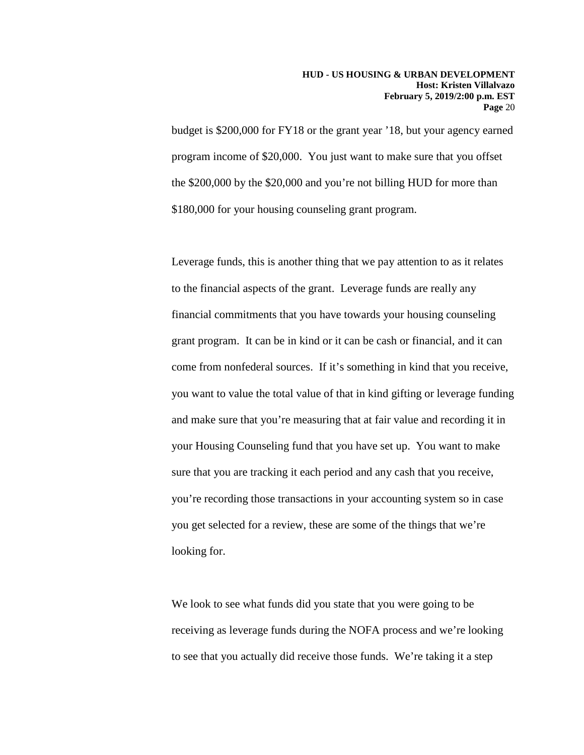budget is \$200,000 for FY18 or the grant year '18, but your agency earned program income of \$20,000. You just want to make sure that you offset the \$200,000 by the \$20,000 and you're not billing HUD for more than \$180,000 for your housing counseling grant program.

Leverage funds, this is another thing that we pay attention to as it relates to the financial aspects of the grant. Leverage funds are really any financial commitments that you have towards your housing counseling grant program. It can be in kind or it can be cash or financial, and it can come from nonfederal sources. If it's something in kind that you receive, you want to value the total value of that in kind gifting or leverage funding and make sure that you're measuring that at fair value and recording it in your Housing Counseling fund that you have set up. You want to make sure that you are tracking it each period and any cash that you receive, you're recording those transactions in your accounting system so in case you get selected for a review, these are some of the things that we're looking for.

We look to see what funds did you state that you were going to be receiving as leverage funds during the NOFA process and we're looking to see that you actually did receive those funds. We're taking it a step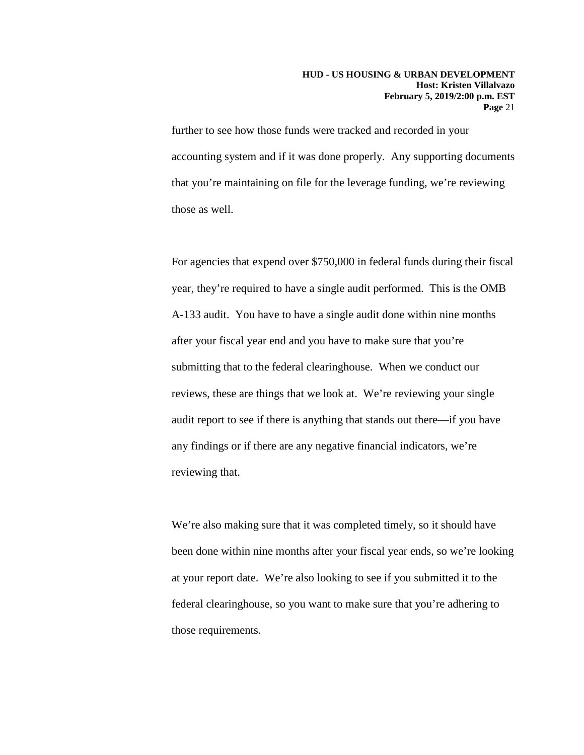further to see how those funds were tracked and recorded in your accounting system and if it was done properly. Any supporting documents that you're maintaining on file for the leverage funding, we're reviewing those as well.

For agencies that expend over \$750,000 in federal funds during their fiscal year, they're required to have a single audit performed. This is the OMB A-133 audit. You have to have a single audit done within nine months after your fiscal year end and you have to make sure that you're submitting that to the federal clearinghouse. When we conduct our reviews, these are things that we look at. We're reviewing your single audit report to see if there is anything that stands out there—if you have any findings or if there are any negative financial indicators, we're reviewing that.

We're also making sure that it was completed timely, so it should have been done within nine months after your fiscal year ends, so we're looking at your report date. We're also looking to see if you submitted it to the federal clearinghouse, so you want to make sure that you're adhering to those requirements.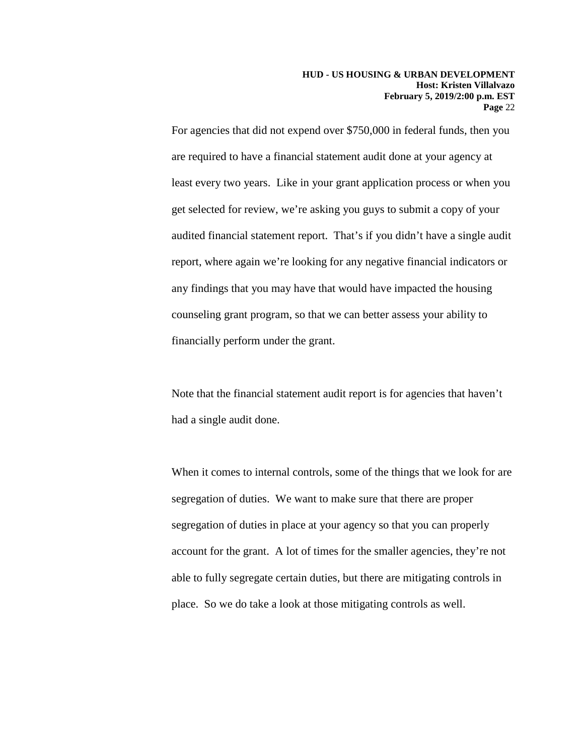For agencies that did not expend over \$750,000 in federal funds, then you are required to have a financial statement audit done at your agency at least every two years. Like in your grant application process or when you get selected for review, we're asking you guys to submit a copy of your audited financial statement report. That's if you didn't have a single audit report, where again we're looking for any negative financial indicators or any findings that you may have that would have impacted the housing counseling grant program, so that we can better assess your ability to financially perform under the grant.

Note that the financial statement audit report is for agencies that haven't had a single audit done.

When it comes to internal controls, some of the things that we look for are segregation of duties. We want to make sure that there are proper segregation of duties in place at your agency so that you can properly account for the grant. A lot of times for the smaller agencies, they're not able to fully segregate certain duties, but there are mitigating controls in place. So we do take a look at those mitigating controls as well.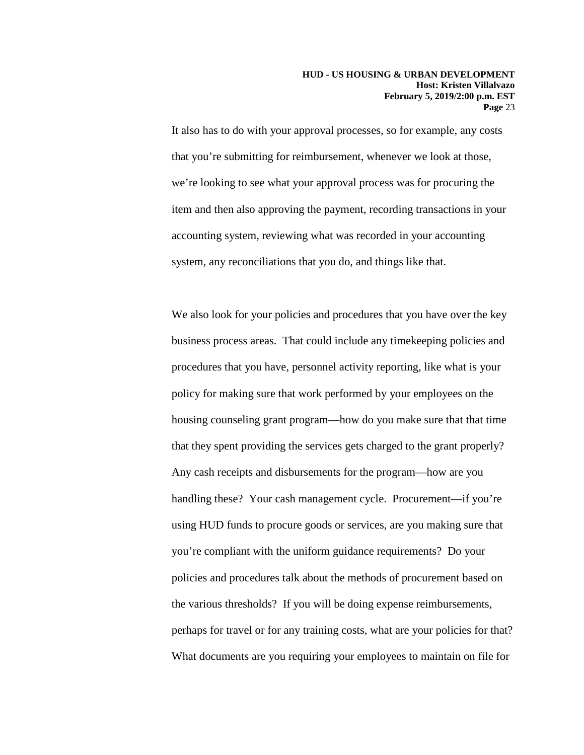It also has to do with your approval processes, so for example, any costs that you're submitting for reimbursement, whenever we look at those, we're looking to see what your approval process was for procuring the item and then also approving the payment, recording transactions in your accounting system, reviewing what was recorded in your accounting system, any reconciliations that you do, and things like that.

We also look for your policies and procedures that you have over the key business process areas. That could include any timekeeping policies and procedures that you have, personnel activity reporting, like what is your policy for making sure that work performed by your employees on the housing counseling grant program—how do you make sure that that time that they spent providing the services gets charged to the grant properly? Any cash receipts and disbursements for the program—how are you handling these? Your cash management cycle. Procurement—if you're using HUD funds to procure goods or services, are you making sure that you're compliant with the uniform guidance requirements? Do your policies and procedures talk about the methods of procurement based on the various thresholds? If you will be doing expense reimbursements, perhaps for travel or for any training costs, what are your policies for that? What documents are you requiring your employees to maintain on file for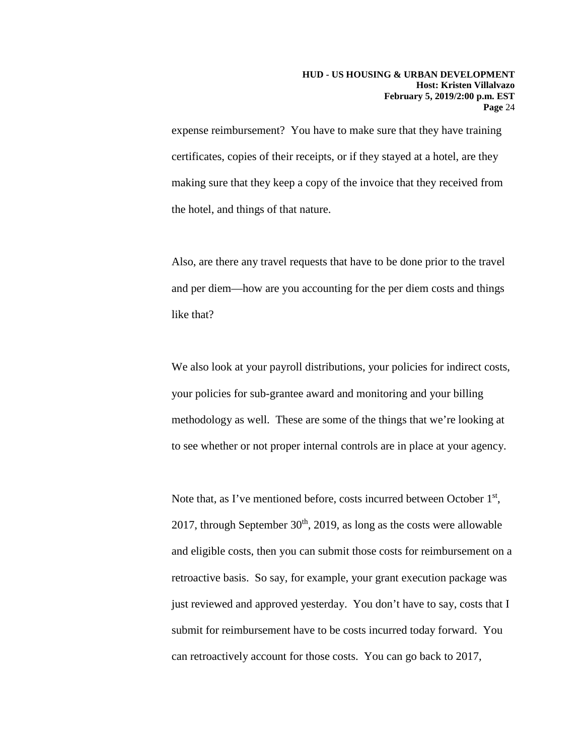expense reimbursement? You have to make sure that they have training certificates, copies of their receipts, or if they stayed at a hotel, are they making sure that they keep a copy of the invoice that they received from the hotel, and things of that nature.

Also, are there any travel requests that have to be done prior to the travel and per diem—how are you accounting for the per diem costs and things like that?

We also look at your payroll distributions, your policies for indirect costs, your policies for sub-grantee award and monitoring and your billing methodology as well. These are some of the things that we're looking at to see whether or not proper internal controls are in place at your agency.

Note that, as I've mentioned before, costs incurred between October 1<sup>st</sup>, 2017, through September  $30<sup>th</sup>$ , 2019, as long as the costs were allowable and eligible costs, then you can submit those costs for reimbursement on a retroactive basis. So say, for example, your grant execution package was just reviewed and approved yesterday. You don't have to say, costs that I submit for reimbursement have to be costs incurred today forward. You can retroactively account for those costs. You can go back to 2017,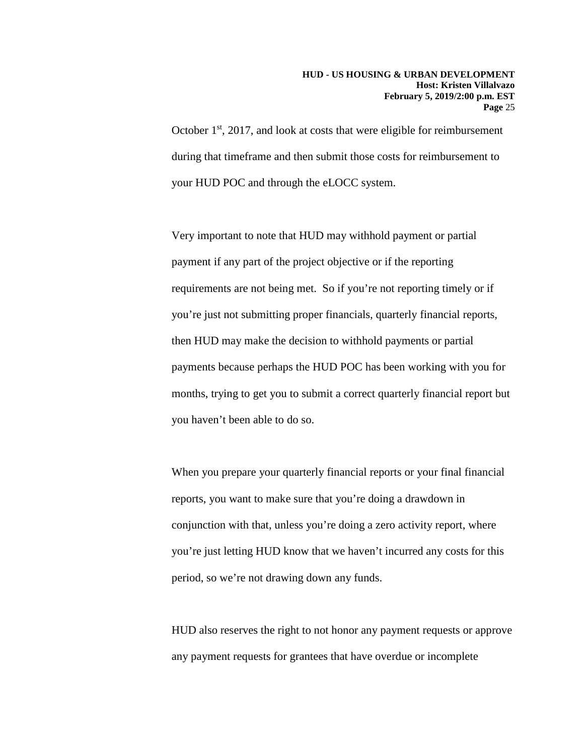October 1<sup>st</sup>, 2017, and look at costs that were eligible for reimbursement during that timeframe and then submit those costs for reimbursement to your HUD POC and through the eLOCC system.

Very important to note that HUD may withhold payment or partial payment if any part of the project objective or if the reporting requirements are not being met. So if you're not reporting timely or if you're just not submitting proper financials, quarterly financial reports, then HUD may make the decision to withhold payments or partial payments because perhaps the HUD POC has been working with you for months, trying to get you to submit a correct quarterly financial report but you haven't been able to do so.

When you prepare your quarterly financial reports or your final financial reports, you want to make sure that you're doing a drawdown in conjunction with that, unless you're doing a zero activity report, where you're just letting HUD know that we haven't incurred any costs for this period, so we're not drawing down any funds.

HUD also reserves the right to not honor any payment requests or approve any payment requests for grantees that have overdue or incomplete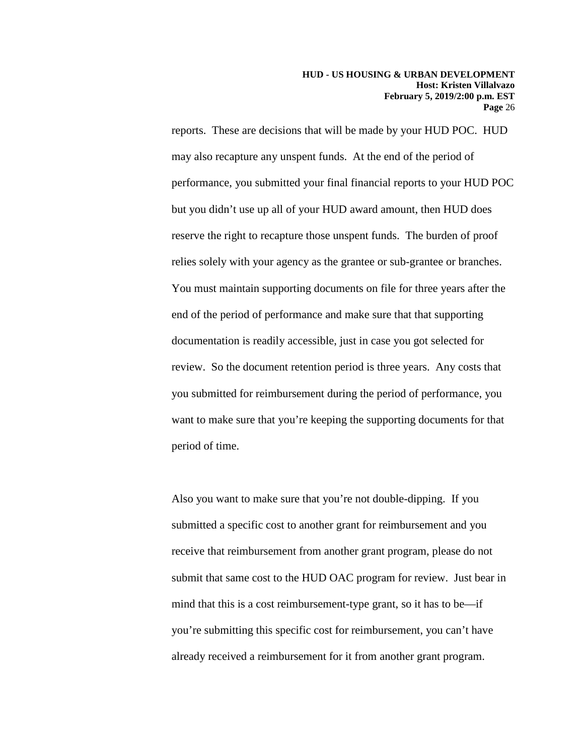reports. These are decisions that will be made by your HUD POC. HUD may also recapture any unspent funds. At the end of the period of performance, you submitted your final financial reports to your HUD POC but you didn't use up all of your HUD award amount, then HUD does reserve the right to recapture those unspent funds. The burden of proof relies solely with your agency as the grantee or sub-grantee or branches. You must maintain supporting documents on file for three years after the end of the period of performance and make sure that that supporting documentation is readily accessible, just in case you got selected for review. So the document retention period is three years. Any costs that you submitted for reimbursement during the period of performance, you want to make sure that you're keeping the supporting documents for that period of time.

Also you want to make sure that you're not double-dipping. If you submitted a specific cost to another grant for reimbursement and you receive that reimbursement from another grant program, please do not submit that same cost to the HUD OAC program for review. Just bear in mind that this is a cost reimbursement-type grant, so it has to be—if you're submitting this specific cost for reimbursement, you can't have already received a reimbursement for it from another grant program.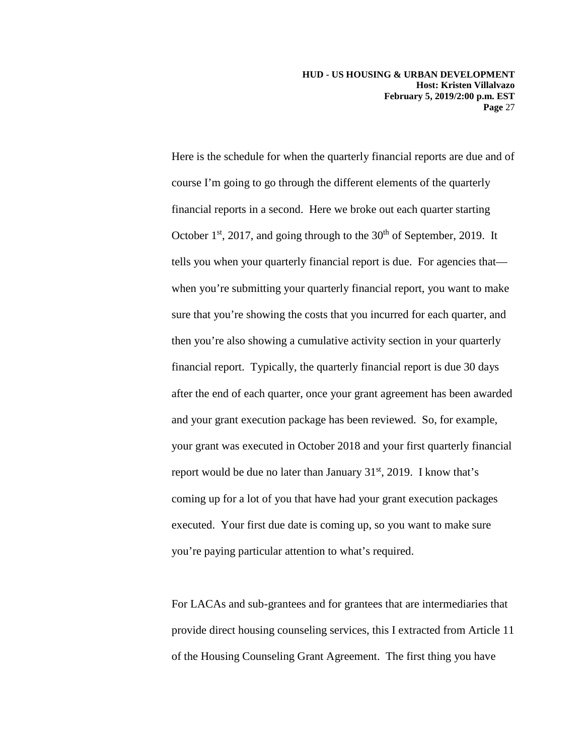Here is the schedule for when the quarterly financial reports are due and of course I'm going to go through the different elements of the quarterly financial reports in a second. Here we broke out each quarter starting October  $1<sup>st</sup>$ , 2017, and going through to the  $30<sup>th</sup>$  of September, 2019. It tells you when your quarterly financial report is due. For agencies that when you're submitting your quarterly financial report, you want to make sure that you're showing the costs that you incurred for each quarter, and then you're also showing a cumulative activity section in your quarterly financial report. Typically, the quarterly financial report is due 30 days after the end of each quarter, once your grant agreement has been awarded and your grant execution package has been reviewed. So, for example, your grant was executed in October 2018 and your first quarterly financial report would be due no later than January  $31<sup>st</sup>$ , 2019. I know that's coming up for a lot of you that have had your grant execution packages executed. Your first due date is coming up, so you want to make sure you're paying particular attention to what's required.

For LACAs and sub-grantees and for grantees that are intermediaries that provide direct housing counseling services, this I extracted from Article 11 of the Housing Counseling Grant Agreement. The first thing you have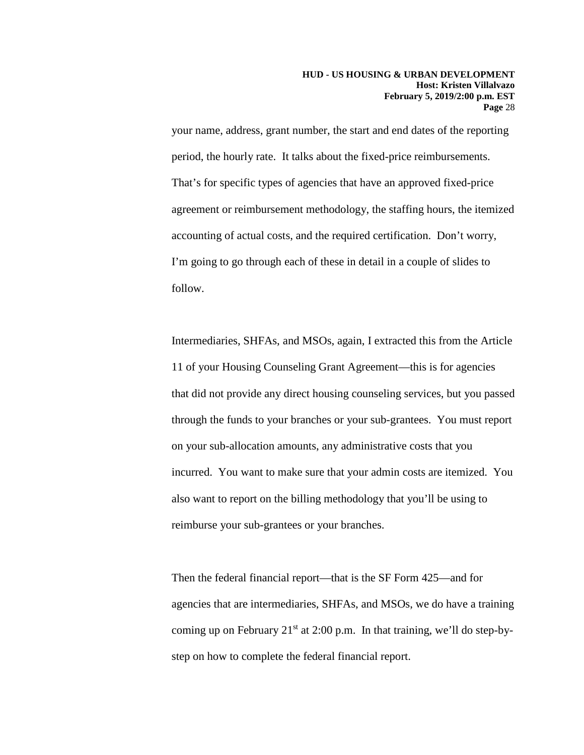your name, address, grant number, the start and end dates of the reporting period, the hourly rate. It talks about the fixed-price reimbursements. That's for specific types of agencies that have an approved fixed-price agreement or reimbursement methodology, the staffing hours, the itemized accounting of actual costs, and the required certification. Don't worry, I'm going to go through each of these in detail in a couple of slides to follow.

Intermediaries, SHFAs, and MSOs, again, I extracted this from the Article 11 of your Housing Counseling Grant Agreement—this is for agencies that did not provide any direct housing counseling services, but you passed through the funds to your branches or your sub-grantees. You must report on your sub-allocation amounts, any administrative costs that you incurred. You want to make sure that your admin costs are itemized. You also want to report on the billing methodology that you'll be using to reimburse your sub-grantees or your branches.

Then the federal financial report—that is the SF Form 425—and for agencies that are intermediaries, SHFAs, and MSOs, we do have a training coming up on February  $21^{st}$  at 2:00 p.m. In that training, we'll do step-bystep on how to complete the federal financial report.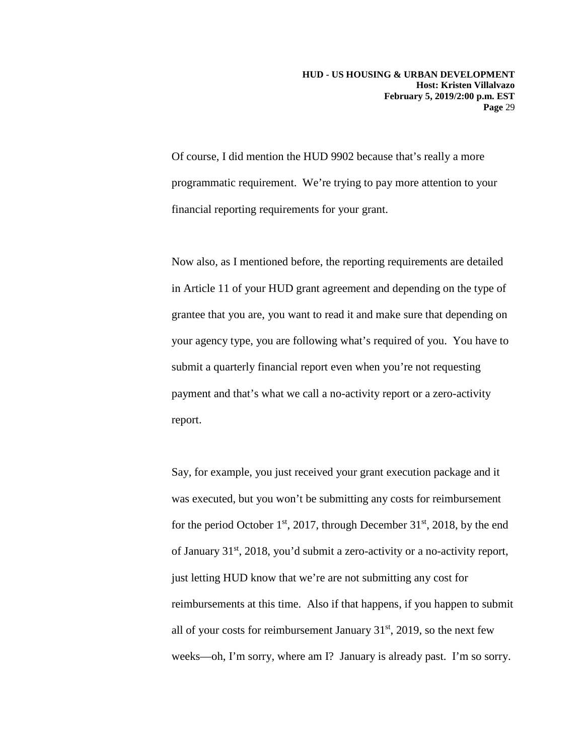Of course, I did mention the HUD 9902 because that's really a more programmatic requirement. We're trying to pay more attention to your financial reporting requirements for your grant.

Now also, as I mentioned before, the reporting requirements are detailed in Article 11 of your HUD grant agreement and depending on the type of grantee that you are, you want to read it and make sure that depending on your agency type, you are following what's required of you. You have to submit a quarterly financial report even when you're not requesting payment and that's what we call a no-activity report or a zero-activity report.

Say, for example, you just received your grant execution package and it was executed, but you won't be submitting any costs for reimbursement for the period October  $1<sup>st</sup>$ , 2017, through December 31 $<sup>st</sup>$ , 2018, by the end</sup> of January 31st, 2018, you'd submit a zero-activity or a no-activity report, just letting HUD know that we're are not submitting any cost for reimbursements at this time. Also if that happens, if you happen to submit all of your costs for reimbursement January  $31<sup>st</sup>$ , 2019, so the next few weeks—oh, I'm sorry, where am I? January is already past. I'm so sorry.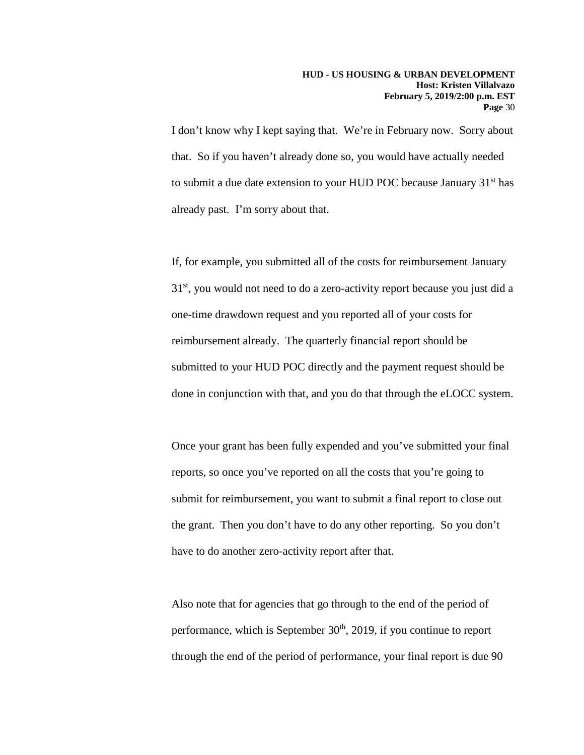I don't know why I kept saying that. We're in February now. Sorry about that. So if you haven't already done so, you would have actually needed to submit a due date extension to your HUD POC because January 31<sup>st</sup> has already past. I'm sorry about that.

If, for example, you submitted all of the costs for reimbursement January  $31<sup>st</sup>$ , you would not need to do a zero-activity report because you just did a one-time drawdown request and you reported all of your costs for reimbursement already. The quarterly financial report should be submitted to your HUD POC directly and the payment request should be done in conjunction with that, and you do that through the eLOCC system.

Once your grant has been fully expended and you've submitted your final reports, so once you've reported on all the costs that you're going to submit for reimbursement, you want to submit a final report to close out the grant. Then you don't have to do any other reporting. So you don't have to do another zero-activity report after that.

Also note that for agencies that go through to the end of the period of performance, which is September  $30<sup>th</sup>$ , 2019, if you continue to report through the end of the period of performance, your final report is due 90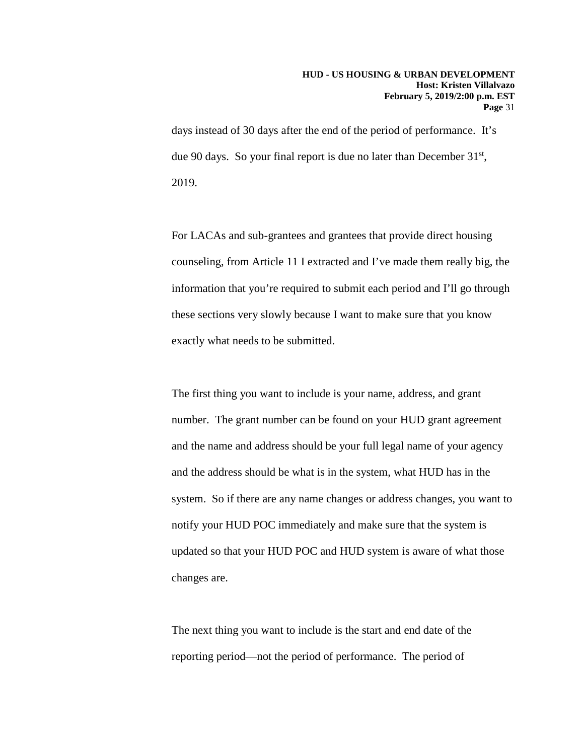days instead of 30 days after the end of the period of performance. It's due 90 days. So your final report is due no later than December  $31<sup>st</sup>$ , 2019.

For LACAs and sub-grantees and grantees that provide direct housing counseling, from Article 11 I extracted and I've made them really big, the information that you're required to submit each period and I'll go through these sections very slowly because I want to make sure that you know exactly what needs to be submitted.

The first thing you want to include is your name, address, and grant number. The grant number can be found on your HUD grant agreement and the name and address should be your full legal name of your agency and the address should be what is in the system, what HUD has in the system. So if there are any name changes or address changes, you want to notify your HUD POC immediately and make sure that the system is updated so that your HUD POC and HUD system is aware of what those changes are.

The next thing you want to include is the start and end date of the reporting period—not the period of performance. The period of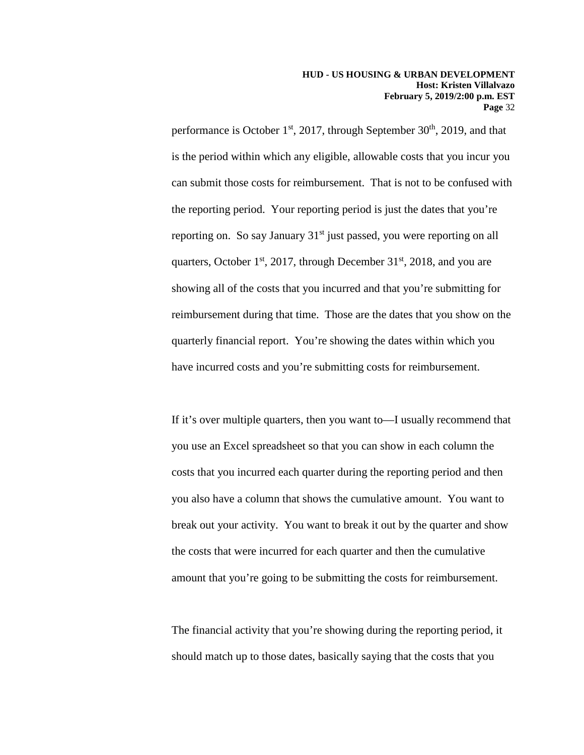performance is October  $1<sup>st</sup>$ , 2017, through September 30<sup>th</sup>, 2019, and that is the period within which any eligible, allowable costs that you incur you can submit those costs for reimbursement. That is not to be confused with the reporting period. Your reporting period is just the dates that you're reporting on. So say January 31<sup>st</sup> just passed, you were reporting on all quarters, October  $1<sup>st</sup>$ , 2017, through December 31 $<sup>st</sup>$ , 2018, and you are</sup> showing all of the costs that you incurred and that you're submitting for reimbursement during that time. Those are the dates that you show on the quarterly financial report. You're showing the dates within which you have incurred costs and you're submitting costs for reimbursement.

If it's over multiple quarters, then you want to—I usually recommend that you use an Excel spreadsheet so that you can show in each column the costs that you incurred each quarter during the reporting period and then you also have a column that shows the cumulative amount. You want to break out your activity. You want to break it out by the quarter and show the costs that were incurred for each quarter and then the cumulative amount that you're going to be submitting the costs for reimbursement.

The financial activity that you're showing during the reporting period, it should match up to those dates, basically saying that the costs that you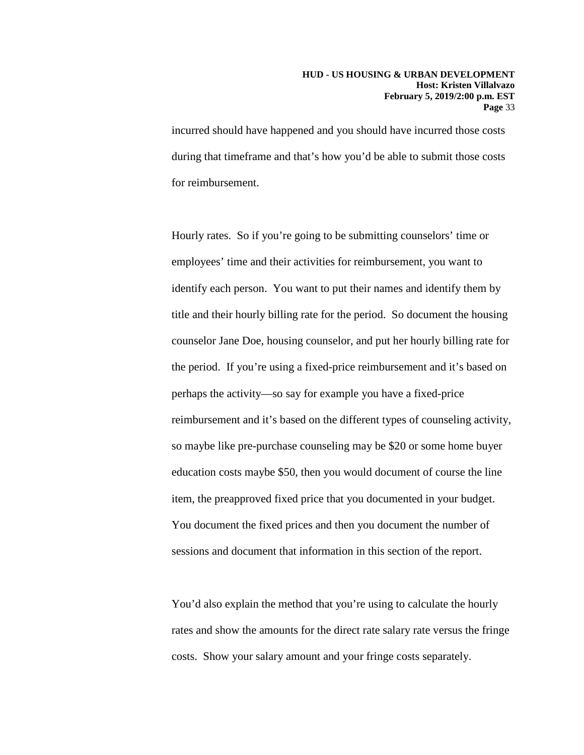incurred should have happened and you should have incurred those costs during that timeframe and that's how you'd be able to submit those costs for reimbursement.

Hourly rates. So if you're going to be submitting counselors' time or employees' time and their activities for reimbursement, you want to identify each person. You want to put their names and identify them by title and their hourly billing rate for the period. So document the housing counselor Jane Doe, housing counselor, and put her hourly billing rate for the period. If you're using a fixed-price reimbursement and it's based on perhaps the activity—so say for example you have a fixed-price reimbursement and it's based on the different types of counseling activity, so maybe like pre-purchase counseling may be \$20 or some home buyer education costs maybe \$50, then you would document of course the line item, the preapproved fixed price that you documented in your budget. You document the fixed prices and then you document the number of sessions and document that information in this section of the report.

You'd also explain the method that you're using to calculate the hourly rates and show the amounts for the direct rate salary rate versus the fringe costs. Show your salary amount and your fringe costs separately.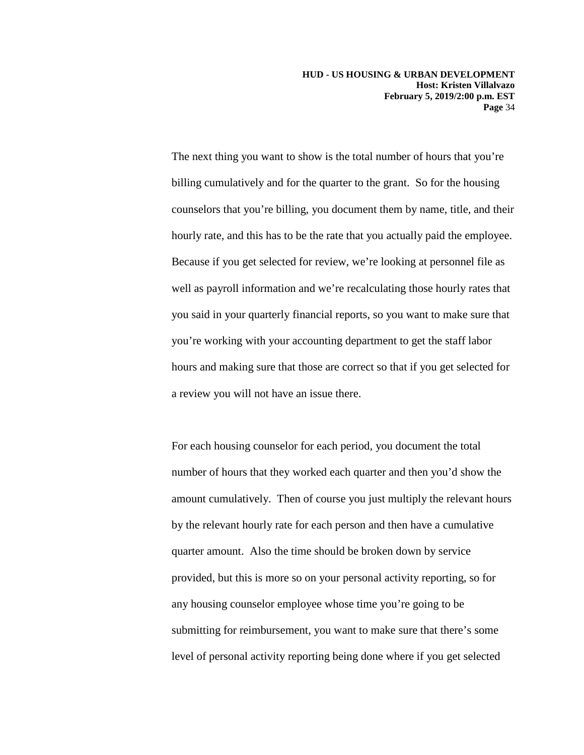The next thing you want to show is the total number of hours that you're billing cumulatively and for the quarter to the grant. So for the housing counselors that you're billing, you document them by name, title, and their hourly rate, and this has to be the rate that you actually paid the employee. Because if you get selected for review, we're looking at personnel file as well as payroll information and we're recalculating those hourly rates that you said in your quarterly financial reports, so you want to make sure that you're working with your accounting department to get the staff labor hours and making sure that those are correct so that if you get selected for a review you will not have an issue there.

For each housing counselor for each period, you document the total number of hours that they worked each quarter and then you'd show the amount cumulatively. Then of course you just multiply the relevant hours by the relevant hourly rate for each person and then have a cumulative quarter amount. Also the time should be broken down by service provided, but this is more so on your personal activity reporting, so for any housing counselor employee whose time you're going to be submitting for reimbursement, you want to make sure that there's some level of personal activity reporting being done where if you get selected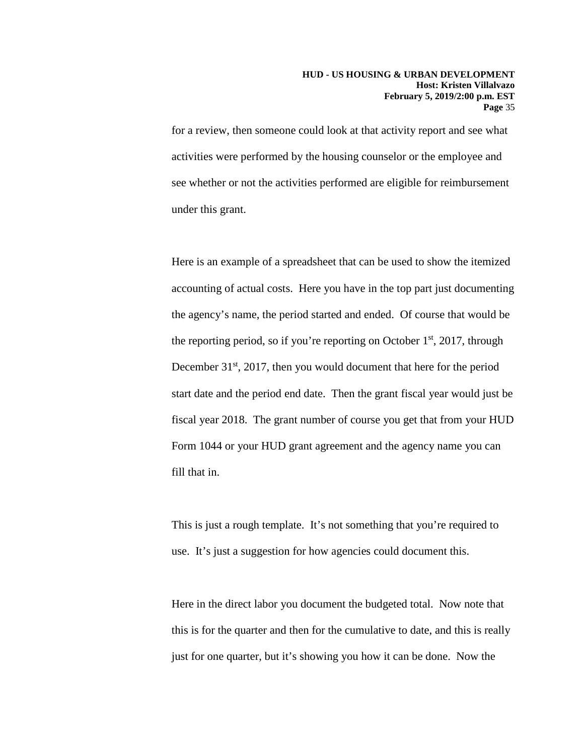for a review, then someone could look at that activity report and see what activities were performed by the housing counselor or the employee and see whether or not the activities performed are eligible for reimbursement under this grant.

Here is an example of a spreadsheet that can be used to show the itemized accounting of actual costs. Here you have in the top part just documenting the agency's name, the period started and ended. Of course that would be the reporting period, so if you're reporting on October  $1<sup>st</sup>$ , 2017, through December 31<sup>st</sup>, 2017, then you would document that here for the period start date and the period end date. Then the grant fiscal year would just be fiscal year 2018. The grant number of course you get that from your HUD Form 1044 or your HUD grant agreement and the agency name you can fill that in.

This is just a rough template. It's not something that you're required to use. It's just a suggestion for how agencies could document this.

Here in the direct labor you document the budgeted total. Now note that this is for the quarter and then for the cumulative to date, and this is really just for one quarter, but it's showing you how it can be done. Now the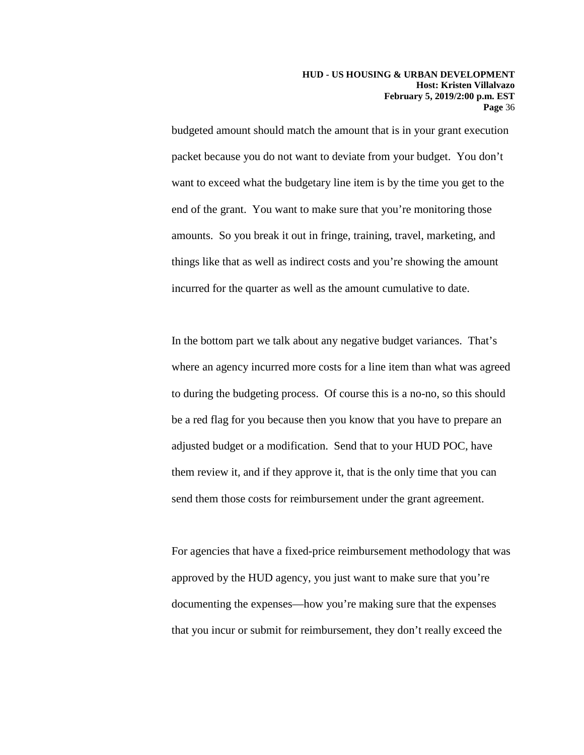budgeted amount should match the amount that is in your grant execution packet because you do not want to deviate from your budget. You don't want to exceed what the budgetary line item is by the time you get to the end of the grant. You want to make sure that you're monitoring those amounts. So you break it out in fringe, training, travel, marketing, and things like that as well as indirect costs and you're showing the amount incurred for the quarter as well as the amount cumulative to date.

In the bottom part we talk about any negative budget variances. That's where an agency incurred more costs for a line item than what was agreed to during the budgeting process. Of course this is a no-no, so this should be a red flag for you because then you know that you have to prepare an adjusted budget or a modification. Send that to your HUD POC, have them review it, and if they approve it, that is the only time that you can send them those costs for reimbursement under the grant agreement.

For agencies that have a fixed-price reimbursement methodology that was approved by the HUD agency, you just want to make sure that you're documenting the expenses—how you're making sure that the expenses that you incur or submit for reimbursement, they don't really exceed the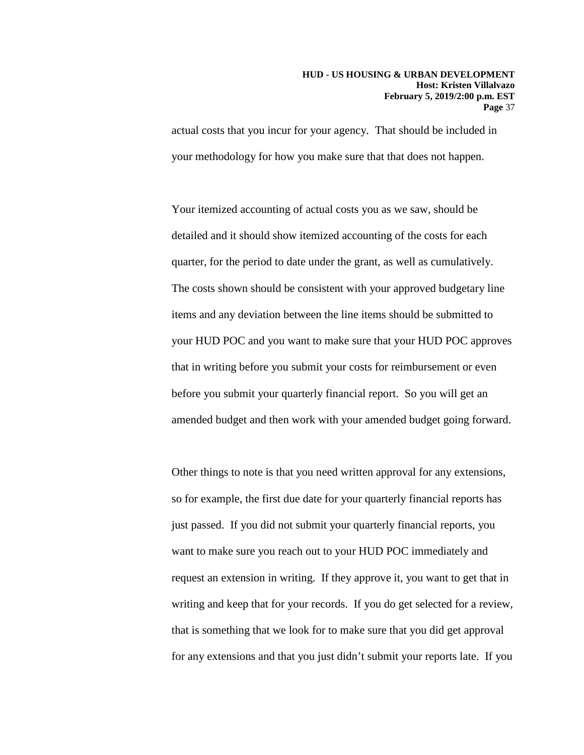actual costs that you incur for your agency. That should be included in your methodology for how you make sure that that does not happen.

Your itemized accounting of actual costs you as we saw, should be detailed and it should show itemized accounting of the costs for each quarter, for the period to date under the grant, as well as cumulatively. The costs shown should be consistent with your approved budgetary line items and any deviation between the line items should be submitted to your HUD POC and you want to make sure that your HUD POC approves that in writing before you submit your costs for reimbursement or even before you submit your quarterly financial report. So you will get an amended budget and then work with your amended budget going forward.

Other things to note is that you need written approval for any extensions, so for example, the first due date for your quarterly financial reports has just passed. If you did not submit your quarterly financial reports, you want to make sure you reach out to your HUD POC immediately and request an extension in writing. If they approve it, you want to get that in writing and keep that for your records. If you do get selected for a review, that is something that we look for to make sure that you did get approval for any extensions and that you just didn't submit your reports late. If you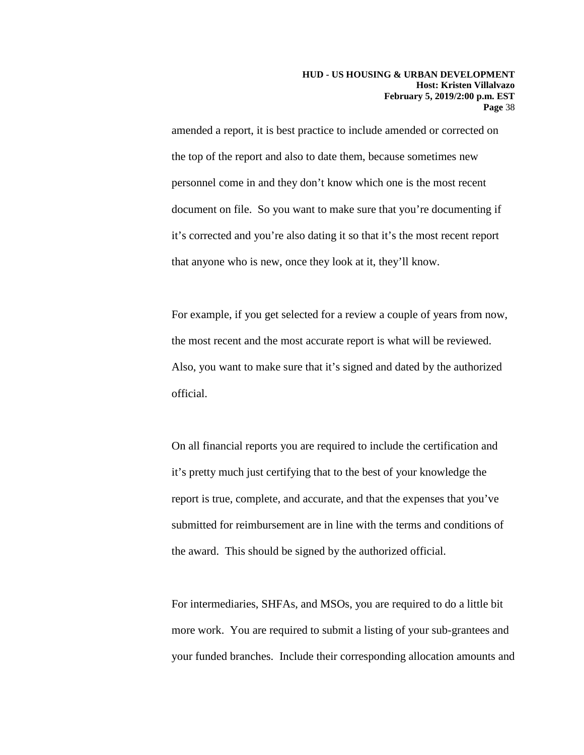amended a report, it is best practice to include amended or corrected on the top of the report and also to date them, because sometimes new personnel come in and they don't know which one is the most recent document on file. So you want to make sure that you're documenting if it's corrected and you're also dating it so that it's the most recent report that anyone who is new, once they look at it, they'll know.

For example, if you get selected for a review a couple of years from now, the most recent and the most accurate report is what will be reviewed. Also, you want to make sure that it's signed and dated by the authorized official.

On all financial reports you are required to include the certification and it's pretty much just certifying that to the best of your knowledge the report is true, complete, and accurate, and that the expenses that you've submitted for reimbursement are in line with the terms and conditions of the award. This should be signed by the authorized official.

For intermediaries, SHFAs, and MSOs, you are required to do a little bit more work. You are required to submit a listing of your sub-grantees and your funded branches. Include their corresponding allocation amounts and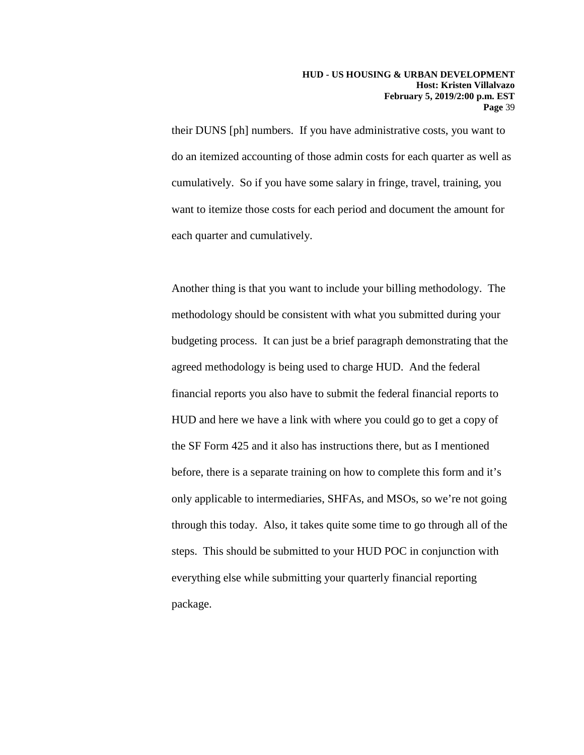their DUNS [ph] numbers. If you have administrative costs, you want to do an itemized accounting of those admin costs for each quarter as well as cumulatively. So if you have some salary in fringe, travel, training, you want to itemize those costs for each period and document the amount for each quarter and cumulatively.

Another thing is that you want to include your billing methodology. The methodology should be consistent with what you submitted during your budgeting process. It can just be a brief paragraph demonstrating that the agreed methodology is being used to charge HUD. And the federal financial reports you also have to submit the federal financial reports to HUD and here we have a link with where you could go to get a copy of the SF Form 425 and it also has instructions there, but as I mentioned before, there is a separate training on how to complete this form and it's only applicable to intermediaries, SHFAs, and MSOs, so we're not going through this today. Also, it takes quite some time to go through all of the steps. This should be submitted to your HUD POC in conjunction with everything else while submitting your quarterly financial reporting package.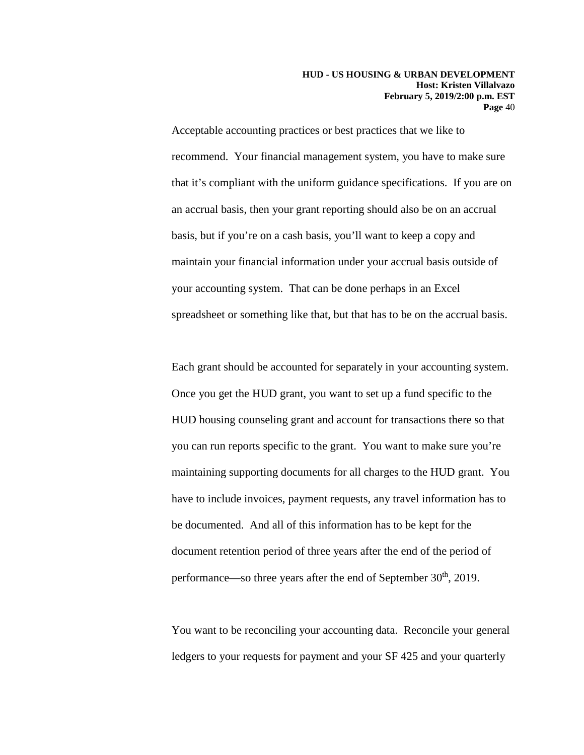Acceptable accounting practices or best practices that we like to recommend. Your financial management system, you have to make sure that it's compliant with the uniform guidance specifications. If you are on an accrual basis, then your grant reporting should also be on an accrual basis, but if you're on a cash basis, you'll want to keep a copy and maintain your financial information under your accrual basis outside of your accounting system. That can be done perhaps in an Excel spreadsheet or something like that, but that has to be on the accrual basis.

Each grant should be accounted for separately in your accounting system. Once you get the HUD grant, you want to set up a fund specific to the HUD housing counseling grant and account for transactions there so that you can run reports specific to the grant. You want to make sure you're maintaining supporting documents for all charges to the HUD grant. You have to include invoices, payment requests, any travel information has to be documented. And all of this information has to be kept for the document retention period of three years after the end of the period of performance—so three years after the end of September  $30<sup>th</sup>$ , 2019.

You want to be reconciling your accounting data. Reconcile your general ledgers to your requests for payment and your SF 425 and your quarterly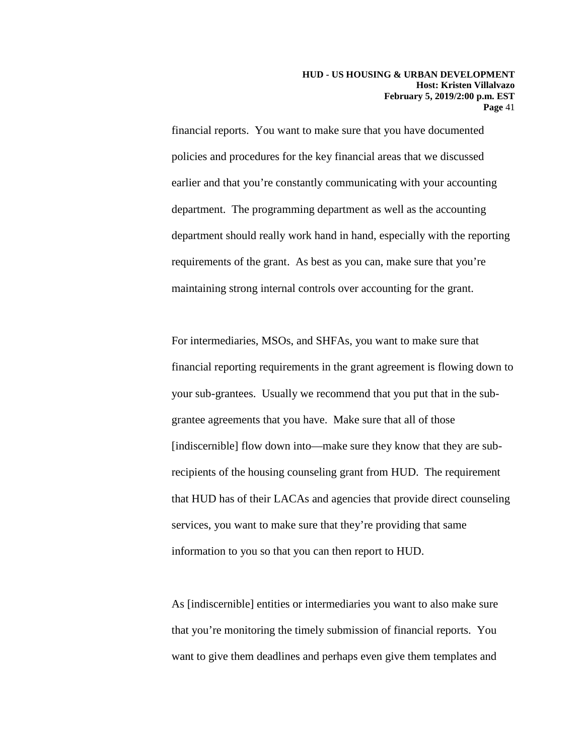financial reports. You want to make sure that you have documented policies and procedures for the key financial areas that we discussed earlier and that you're constantly communicating with your accounting department. The programming department as well as the accounting department should really work hand in hand, especially with the reporting requirements of the grant. As best as you can, make sure that you're maintaining strong internal controls over accounting for the grant.

For intermediaries, MSOs, and SHFAs, you want to make sure that financial reporting requirements in the grant agreement is flowing down to your sub-grantees. Usually we recommend that you put that in the subgrantee agreements that you have. Make sure that all of those [indiscernible] flow down into—make sure they know that they are subrecipients of the housing counseling grant from HUD. The requirement that HUD has of their LACAs and agencies that provide direct counseling services, you want to make sure that they're providing that same information to you so that you can then report to HUD.

As [indiscernible] entities or intermediaries you want to also make sure that you're monitoring the timely submission of financial reports. You want to give them deadlines and perhaps even give them templates and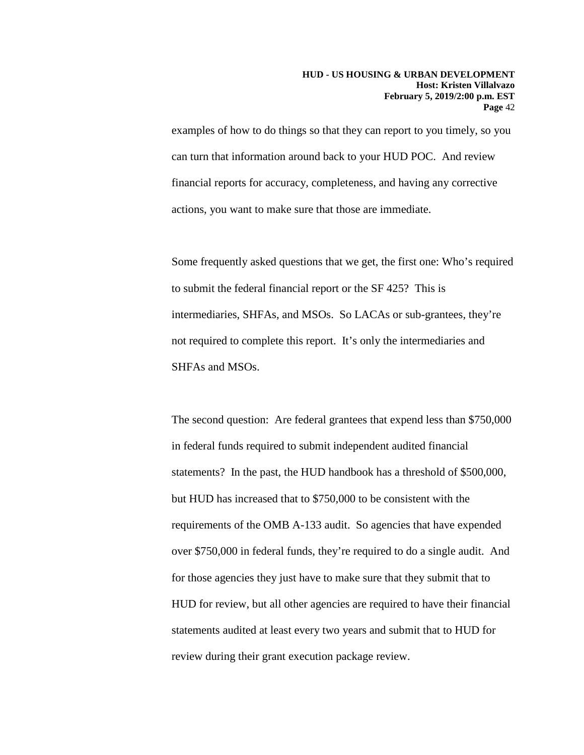examples of how to do things so that they can report to you timely, so you can turn that information around back to your HUD POC. And review financial reports for accuracy, completeness, and having any corrective actions, you want to make sure that those are immediate.

Some frequently asked questions that we get, the first one: Who's required to submit the federal financial report or the SF 425? This is intermediaries, SHFAs, and MSOs. So LACAs or sub-grantees, they're not required to complete this report. It's only the intermediaries and SHFAs and MSOs.

The second question: Are federal grantees that expend less than \$750,000 in federal funds required to submit independent audited financial statements? In the past, the HUD handbook has a threshold of \$500,000, but HUD has increased that to \$750,000 to be consistent with the requirements of the OMB A-133 audit. So agencies that have expended over \$750,000 in federal funds, they're required to do a single audit. And for those agencies they just have to make sure that they submit that to HUD for review, but all other agencies are required to have their financial statements audited at least every two years and submit that to HUD for review during their grant execution package review.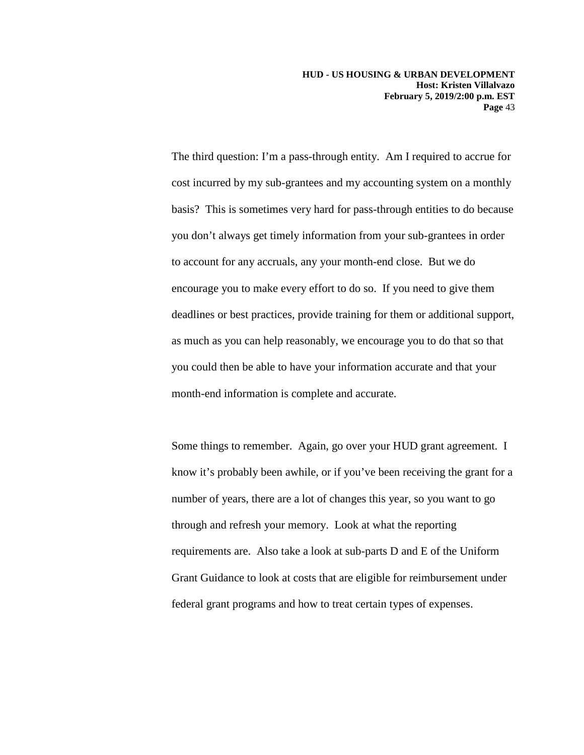The third question: I'm a pass-through entity. Am I required to accrue for cost incurred by my sub-grantees and my accounting system on a monthly basis? This is sometimes very hard for pass-through entities to do because you don't always get timely information from your sub-grantees in order to account for any accruals, any your month-end close. But we do encourage you to make every effort to do so. If you need to give them deadlines or best practices, provide training for them or additional support, as much as you can help reasonably, we encourage you to do that so that you could then be able to have your information accurate and that your month-end information is complete and accurate.

Some things to remember. Again, go over your HUD grant agreement. I know it's probably been awhile, or if you've been receiving the grant for a number of years, there are a lot of changes this year, so you want to go through and refresh your memory. Look at what the reporting requirements are. Also take a look at sub-parts D and E of the Uniform Grant Guidance to look at costs that are eligible for reimbursement under federal grant programs and how to treat certain types of expenses.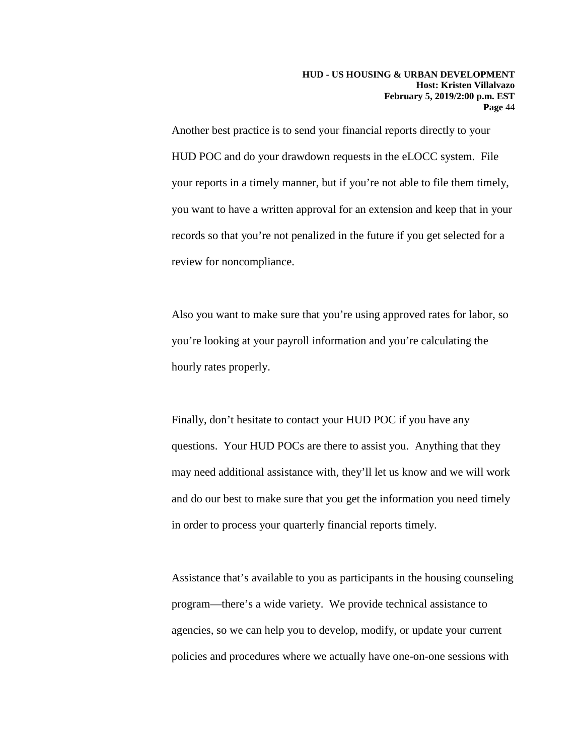Another best practice is to send your financial reports directly to your HUD POC and do your drawdown requests in the eLOCC system. File your reports in a timely manner, but if you're not able to file them timely, you want to have a written approval for an extension and keep that in your records so that you're not penalized in the future if you get selected for a review for noncompliance.

Also you want to make sure that you're using approved rates for labor, so you're looking at your payroll information and you're calculating the hourly rates properly.

Finally, don't hesitate to contact your HUD POC if you have any questions. Your HUD POCs are there to assist you. Anything that they may need additional assistance with, they'll let us know and we will work and do our best to make sure that you get the information you need timely in order to process your quarterly financial reports timely.

Assistance that's available to you as participants in the housing counseling program—there's a wide variety. We provide technical assistance to agencies, so we can help you to develop, modify, or update your current policies and procedures where we actually have one-on-one sessions with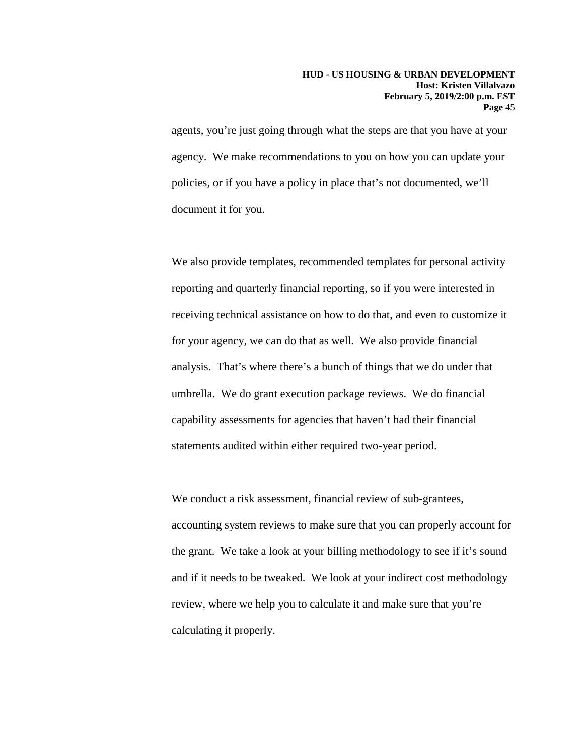agents, you're just going through what the steps are that you have at your agency. We make recommendations to you on how you can update your policies, or if you have a policy in place that's not documented, we'll document it for you.

We also provide templates, recommended templates for personal activity reporting and quarterly financial reporting, so if you were interested in receiving technical assistance on how to do that, and even to customize it for your agency, we can do that as well. We also provide financial analysis. That's where there's a bunch of things that we do under that umbrella. We do grant execution package reviews. We do financial capability assessments for agencies that haven't had their financial statements audited within either required two-year period.

We conduct a risk assessment, financial review of sub-grantees, accounting system reviews to make sure that you can properly account for the grant. We take a look at your billing methodology to see if it's sound and if it needs to be tweaked. We look at your indirect cost methodology review, where we help you to calculate it and make sure that you're calculating it properly.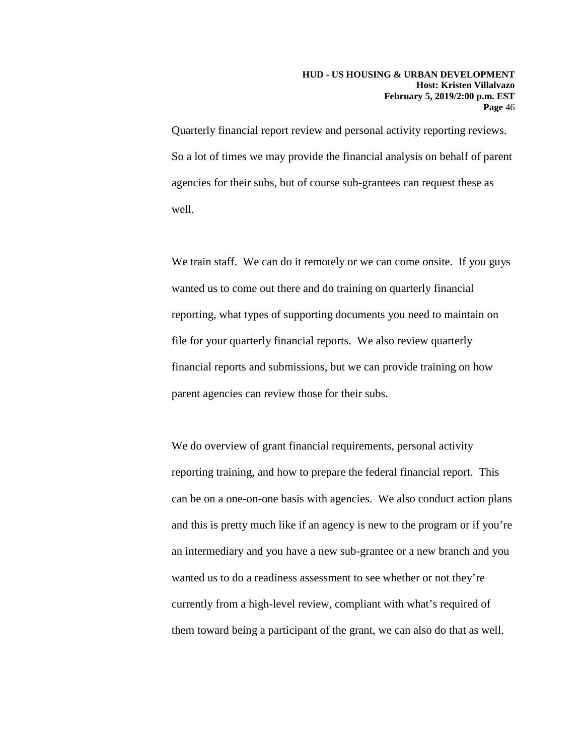Quarterly financial report review and personal activity reporting reviews. So a lot of times we may provide the financial analysis on behalf of parent agencies for their subs, but of course sub-grantees can request these as well.

We train staff. We can do it remotely or we can come onsite. If you guys wanted us to come out there and do training on quarterly financial reporting, what types of supporting documents you need to maintain on file for your quarterly financial reports. We also review quarterly financial reports and submissions, but we can provide training on how parent agencies can review those for their subs.

We do overview of grant financial requirements, personal activity reporting training, and how to prepare the federal financial report. This can be on a one-on-one basis with agencies. We also conduct action plans and this is pretty much like if an agency is new to the program or if you're an intermediary and you have a new sub-grantee or a new branch and you wanted us to do a readiness assessment to see whether or not they're currently from a high-level review, compliant with what's required of them toward being a participant of the grant, we can also do that as well.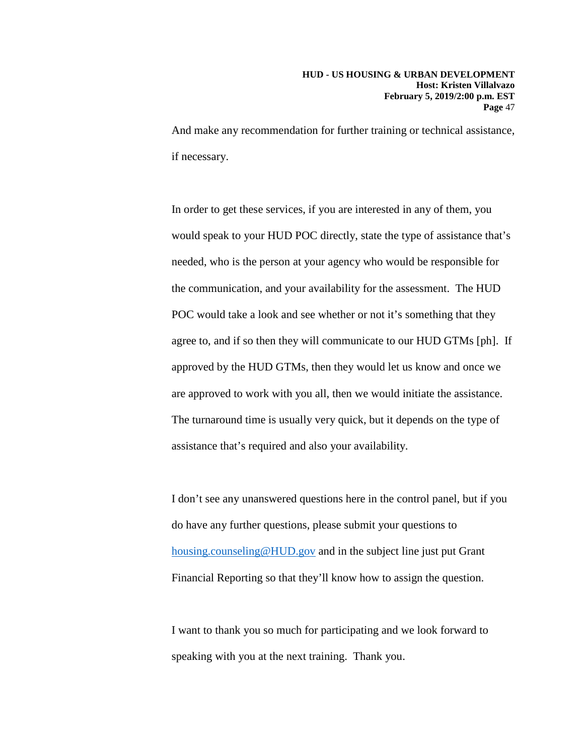And make any recommendation for further training or technical assistance, if necessary.

In order to get these services, if you are interested in any of them, you would speak to your HUD POC directly, state the type of assistance that's needed, who is the person at your agency who would be responsible for the communication, and your availability for the assessment. The HUD POC would take a look and see whether or not it's something that they agree to, and if so then they will communicate to our HUD GTMs [ph]. If approved by the HUD GTMs, then they would let us know and once we are approved to work with you all, then we would initiate the assistance. The turnaround time is usually very quick, but it depends on the type of assistance that's required and also your availability.

I don't see any unanswered questions here in the control panel, but if you do have any further questions, please submit your questions to [housing.counseling@HUD.gov](mailto:housing.counseling@HUD.gov) and in the subject line just put Grant Financial Reporting so that they'll know how to assign the question.

I want to thank you so much for participating and we look forward to speaking with you at the next training. Thank you.